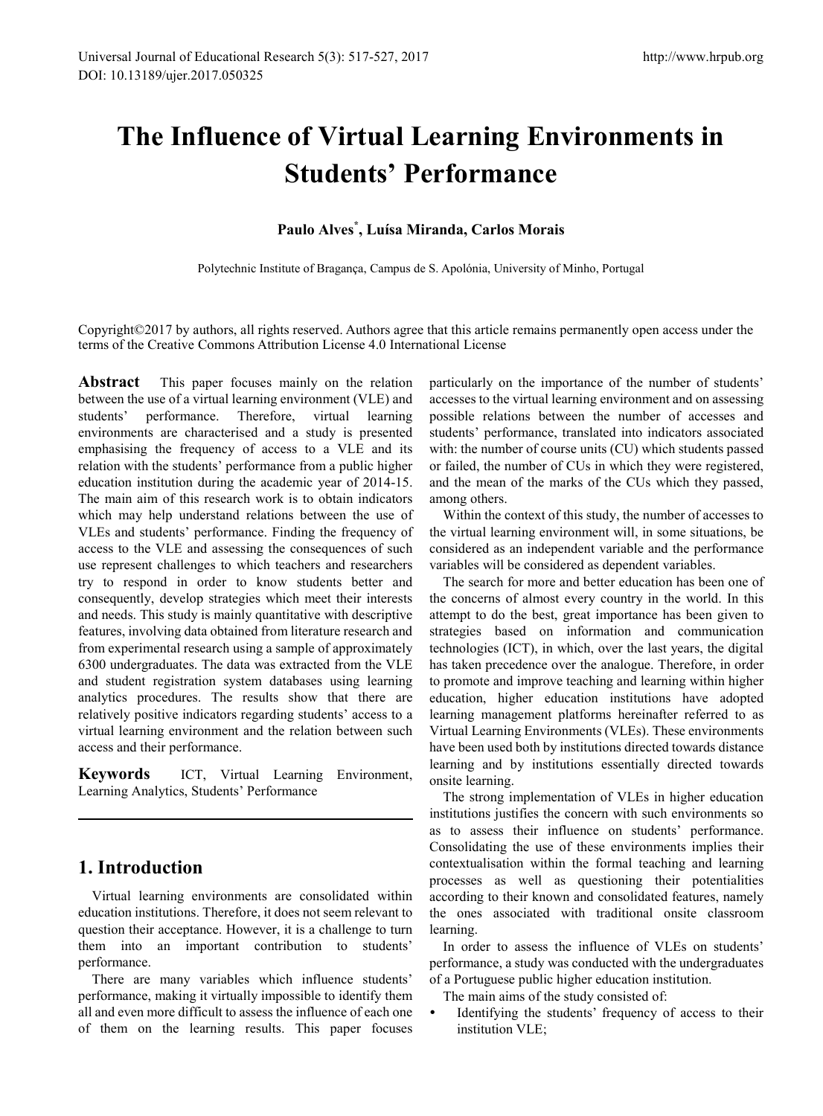# **The Influence of Virtual Learning Environments in Students' Performance**

## **Paulo Alves\* , Luísa Miranda, Carlos Morais**

Polytechnic Institute of Bragança, Campus de S. Apolónia, University of Minho, Portugal

Copyright©2017 by authors, all rights reserved. Authors agree that this article remains permanently open access under the terms of the Creative Commons Attribution License 4.0 International License

**Abstract** This paper focuses mainly on the relation between the use of a virtual learning environment (VLE) and students' performance. Therefore, virtual learning environments are characterised and a study is presented emphasising the frequency of access to a VLE and its relation with the students' performance from a public higher education institution during the academic year of 2014-15. The main aim of this research work is to obtain indicators which may help understand relations between the use of VLEs and students' performance. Finding the frequency of access to the VLE and assessing the consequences of such use represent challenges to which teachers and researchers try to respond in order to know students better and consequently, develop strategies which meet their interests and needs. This study is mainly quantitative with descriptive features, involving data obtained from literature research and from experimental research using a sample of approximately 6300 undergraduates. The data was extracted from the VLE and student registration system databases using learning analytics procedures. The results show that there are relatively positive indicators regarding students' access to a virtual learning environment and the relation between such access and their performance.

**Keywords** ICT, Virtual Learning Environment, Learning Analytics, Students' Performance

# **1. Introduction**

Virtual learning environments are consolidated within education institutions. Therefore, it does not seem relevant to question their acceptance. However, it is a challenge to turn them into an important contribution to students' performance.

There are many variables which influence students' performance, making it virtually impossible to identify them all and even more difficult to assess the influence of each one of them on the learning results. This paper focuses particularly on the importance of the number of students' accesses to the virtual learning environment and on assessing possible relations between the number of accesses and students' performance, translated into indicators associated with: the number of course units (CU) which students passed or failed, the number of CUs in which they were registered, and the mean of the marks of the CUs which they passed, among others.

Within the context of this study, the number of accesses to the virtual learning environment will, in some situations, be considered as an independent variable and the performance variables will be considered as dependent variables.

The search for more and better education has been one of the concerns of almost every country in the world. In this attempt to do the best, great importance has been given to strategies based on information and communication technologies (ICT), in which, over the last years, the digital has taken precedence over the analogue. Therefore, in order to promote and improve teaching and learning within higher education, higher education institutions have adopted learning management platforms hereinafter referred to as Virtual Learning Environments (VLEs). These environments have been used both by institutions directed towards distance learning and by institutions essentially directed towards onsite learning.

The strong implementation of VLEs in higher education institutions justifies the concern with such environments so as to assess their influence on students' performance. Consolidating the use of these environments implies their contextualisation within the formal teaching and learning processes as well as questioning their potentialities according to their known and consolidated features, namely the ones associated with traditional onsite classroom learning.

In order to assess the influence of VLEs on students' performance, a study was conducted with the undergraduates of a Portuguese public higher education institution.

- The main aims of the study consisted of:
- Identifying the students' frequency of access to their institution VLE;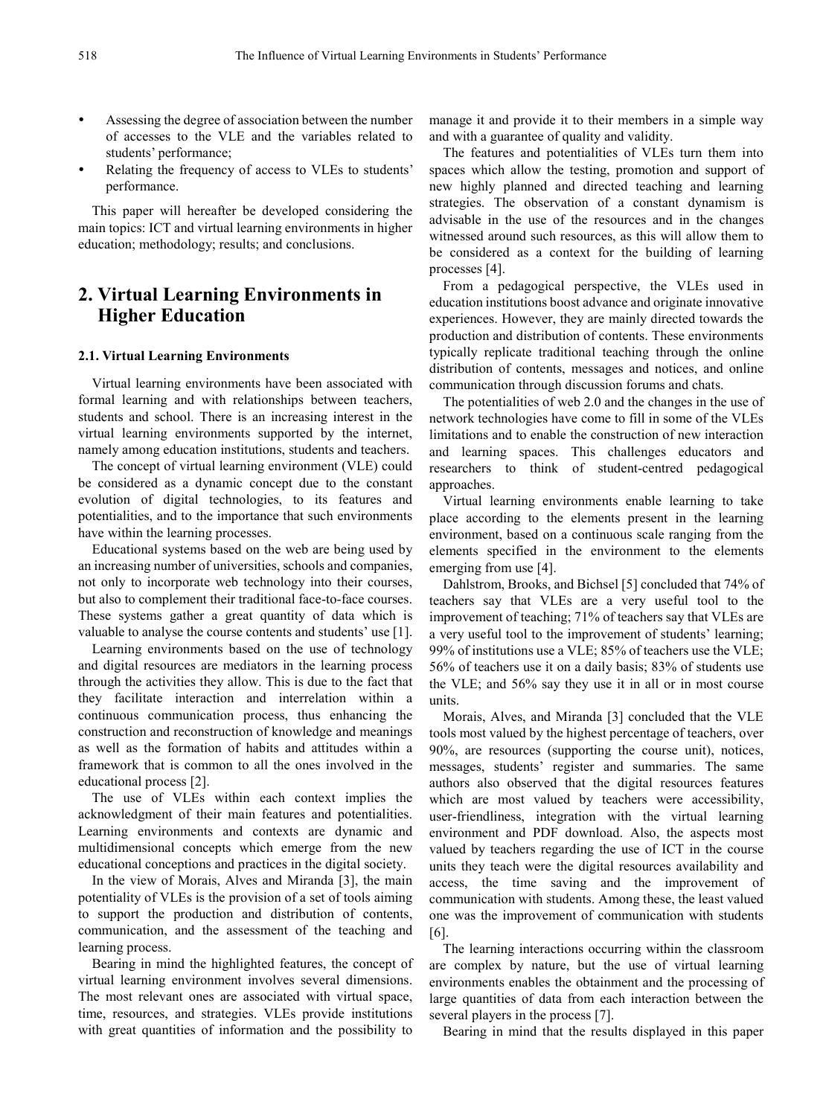- Assessing the degree of association between the number of accesses to the VLE and the variables related to students' performance;
- Relating the frequency of access to VLEs to students' performance.

This paper will hereafter be developed considering the main topics: ICT and virtual learning environments in higher education; methodology; results; and conclusions.

## **2. Virtual Learning Environments in Higher Education**

### **2.1. Virtual Learning Environments**

Virtual learning environments have been associated with formal learning and with relationships between teachers, students and school. There is an increasing interest in the virtual learning environments supported by the internet, namely among education institutions, students and teachers.

The concept of virtual learning environment (VLE) could be considered as a dynamic concept due to the constant evolution of digital technologies, to its features and potentialities, and to the importance that such environments have within the learning processes.

Educational systems based on the web are being used by an increasing number of universities, schools and companies, not only to incorporate web technology into their courses, but also to complement their traditional face-to-face courses. These systems gather a great quantity of data which is valuable to analyse the course contents and students' use [1].

Learning environments based on the use of technology and digital resources are mediators in the learning process through the activities they allow. This is due to the fact that they facilitate interaction and interrelation within a continuous communication process, thus enhancing the construction and reconstruction of knowledge and meanings as well as the formation of habits and attitudes within a framework that is common to all the ones involved in the educational process [2].

The use of VLEs within each context implies the acknowledgment of their main features and potentialities. Learning environments and contexts are dynamic and multidimensional concepts which emerge from the new educational conceptions and practices in the digital society.

In the view of Morais, Alves and Miranda [3], the main potentiality of VLEs is the provision of a set of tools aiming to support the production and distribution of contents, communication, and the assessment of the teaching and learning process.

Bearing in mind the highlighted features, the concept of virtual learning environment involves several dimensions. The most relevant ones are associated with virtual space, time, resources, and strategies. VLEs provide institutions with great quantities of information and the possibility to

manage it and provide it to their members in a simple way and with a guarantee of quality and validity.

The features and potentialities of VLEs turn them into spaces which allow the testing, promotion and support of new highly planned and directed teaching and learning strategies. The observation of a constant dynamism is advisable in the use of the resources and in the changes witnessed around such resources, as this will allow them to be considered as a context for the building of learning processes [4].

From a pedagogical perspective, the VLEs used in education institutions boost advance and originate innovative experiences. However, they are mainly directed towards the production and distribution of contents. These environments typically replicate traditional teaching through the online distribution of contents, messages and notices, and online communication through discussion forums and chats.

The potentialities of web 2.0 and the changes in the use of network technologies have come to fill in some of the VLEs limitations and to enable the construction of new interaction and learning spaces. This challenges educators and researchers to think of student-centred pedagogical approaches.

Virtual learning environments enable learning to take place according to the elements present in the learning environment, based on a continuous scale ranging from the elements specified in the environment to the elements emerging from use [4].

Dahlstrom, Brooks, and Bichsel [5] concluded that 74% of teachers say that VLEs are a very useful tool to the improvement of teaching; 71% of teachers say that VLEs are a very useful tool to the improvement of students' learning; 99% of institutions use a VLE; 85% of teachers use the VLE; 56% of teachers use it on a daily basis; 83% of students use the VLE; and 56% say they use it in all or in most course units.

Morais, Alves, and Miranda [3] concluded that the VLE tools most valued by the highest percentage of teachers, over 90%, are resources (supporting the course unit), notices, messages, students' register and summaries. The same authors also observed that the digital resources features which are most valued by teachers were accessibility, user-friendliness, integration with the virtual learning environment and PDF download. Also, the aspects most valued by teachers regarding the use of ICT in the course units they teach were the digital resources availability and access, the time saving and the improvement of communication with students. Among these, the least valued one was the improvement of communication with students [6].

The learning interactions occurring within the classroom are complex by nature, but the use of virtual learning environments enables the obtainment and the processing of large quantities of data from each interaction between the several players in the process [7].

Bearing in mind that the results displayed in this paper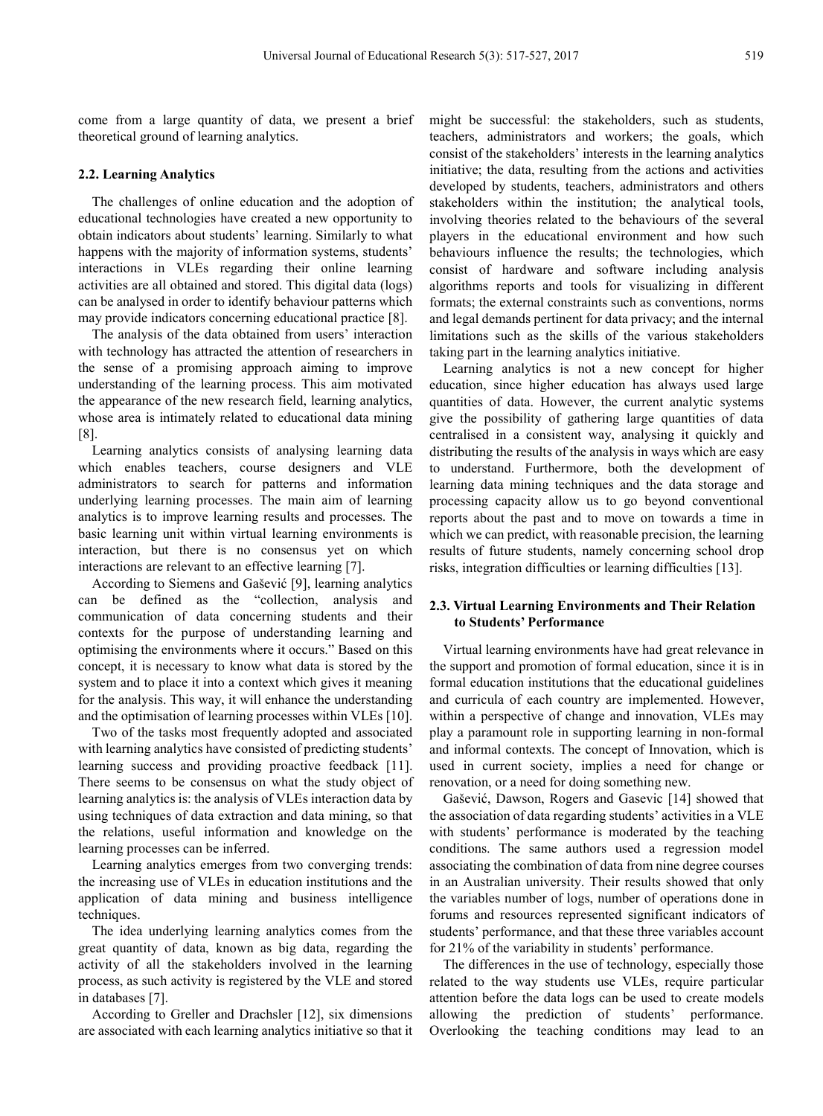come from a large quantity of data, we present a brief theoretical ground of learning analytics.

## **2.2. Learning Analytics**

The challenges of online education and the adoption of educational technologies have created a new opportunity to obtain indicators about students' learning. Similarly to what happens with the majority of information systems, students' interactions in VLEs regarding their online learning activities are all obtained and stored. This digital data (logs) can be analysed in order to identify behaviour patterns which may provide indicators concerning educational practice [8].

The analysis of the data obtained from users' interaction with technology has attracted the attention of researchers in the sense of a promising approach aiming to improve understanding of the learning process. This aim motivated the appearance of the new research field, learning analytics, whose area is intimately related to educational data mining [8].

Learning analytics consists of analysing learning data which enables teachers, course designers and VLE administrators to search for patterns and information underlying learning processes. The main aim of learning analytics is to improve learning results and processes. The basic learning unit within virtual learning environments is interaction, but there is no consensus yet on which interactions are relevant to an effective learning [7].

According to Siemens and Gašević [9], learning analytics can be defined as the "collection, analysis and communication of data concerning students and their contexts for the purpose of understanding learning and optimising the environments where it occurs." Based on this concept, it is necessary to know what data is stored by the system and to place it into a context which gives it meaning for the analysis. This way, it will enhance the understanding and the optimisation of learning processes within VLEs [10].

Two of the tasks most frequently adopted and associated with learning analytics have consisted of predicting students' learning success and providing proactive feedback [11]. There seems to be consensus on what the study object of learning analytics is: the analysis of VLEs interaction data by using techniques of data extraction and data mining, so that the relations, useful information and knowledge on the learning processes can be inferred.

Learning analytics emerges from two converging trends: the increasing use of VLEs in education institutions and the application of data mining and business intelligence techniques.

The idea underlying learning analytics comes from the great quantity of data, known as big data, regarding the activity of all the stakeholders involved in the learning process, as such activity is registered by the VLE and stored in databases [7].

According to Greller and Drachsler [12], six dimensions are associated with each learning analytics initiative so that it might be successful: the stakeholders, such as students, teachers, administrators and workers; the goals, which consist of the stakeholders' interests in the learning analytics initiative; the data, resulting from the actions and activities developed by students, teachers, administrators and others stakeholders within the institution; the analytical tools, involving theories related to the behaviours of the several players in the educational environment and how such behaviours influence the results; the technologies, which consist of hardware and software including analysis algorithms reports and tools for visualizing in different formats; the external constraints such as conventions, norms and legal demands pertinent for data privacy; and the internal limitations such as the skills of the various stakeholders taking part in the learning analytics initiative.

Learning analytics is not a new concept for higher education, since higher education has always used large quantities of data. However, the current analytic systems give the possibility of gathering large quantities of data centralised in a consistent way, analysing it quickly and distributing the results of the analysis in ways which are easy to understand. Furthermore, both the development of learning data mining techniques and the data storage and processing capacity allow us to go beyond conventional reports about the past and to move on towards a time in which we can predict, with reasonable precision, the learning results of future students, namely concerning school drop risks, integration difficulties or learning difficulties [13].

## **2.3. Virtual Learning Environments and Their Relation to Students' Performance**

Virtual learning environments have had great relevance in the support and promotion of formal education, since it is in formal education institutions that the educational guidelines and curricula of each country are implemented. However, within a perspective of change and innovation, VLEs may play a paramount role in supporting learning in non-formal and informal contexts. The concept of Innovation, which is used in current society, implies a need for change or renovation, or a need for doing something new.

Gašević, Dawson, Rogers and Gasevic [14] showed that the association of data regarding students' activities in a VLE with students' performance is moderated by the teaching conditions. The same authors used a regression model associating the combination of data from nine degree courses in an Australian university. Their results showed that only the variables number of logs, number of operations done in forums and resources represented significant indicators of students' performance, and that these three variables account for 21% of the variability in students' performance.

The differences in the use of technology, especially those related to the way students use VLEs, require particular attention before the data logs can be used to create models allowing the prediction of students' performance. Overlooking the teaching conditions may lead to an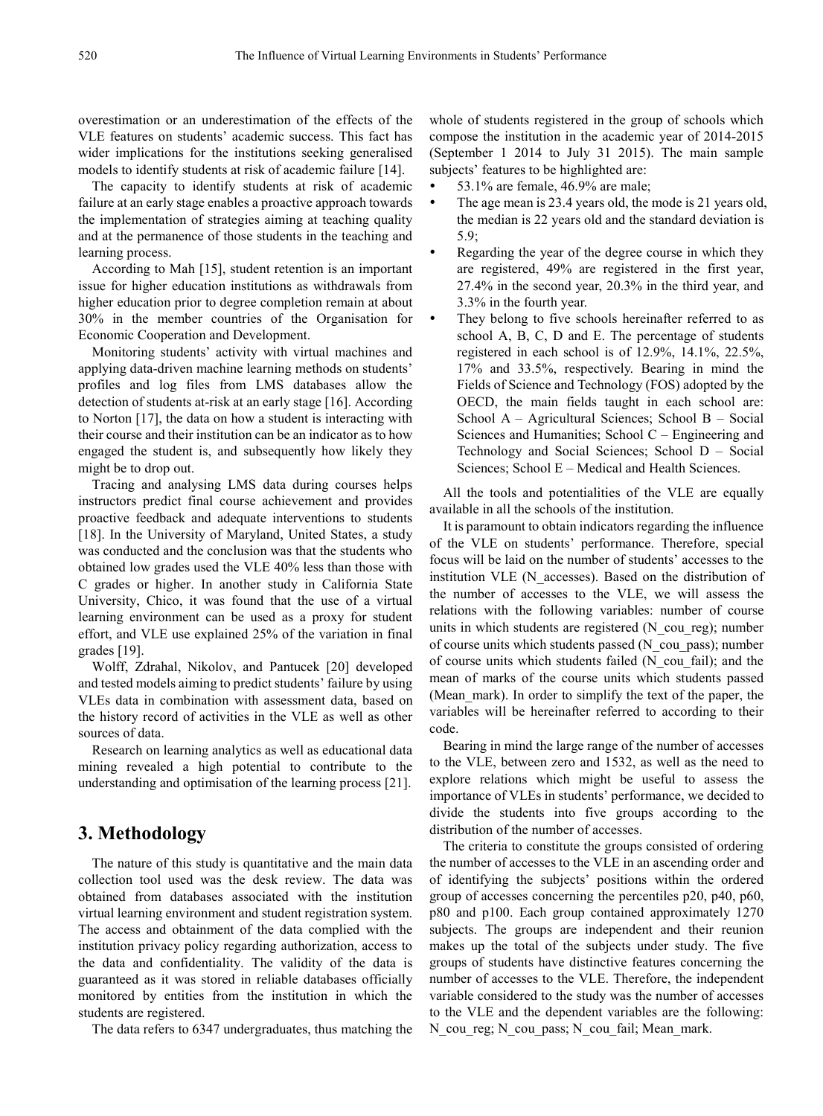overestimation or an underestimation of the effects of the VLE features on students' academic success. This fact has wider implications for the institutions seeking generalised models to identify students at risk of academic failure [14].

The capacity to identify students at risk of academic failure at an early stage enables a proactive approach towards the implementation of strategies aiming at teaching quality and at the permanence of those students in the teaching and learning process.

According to Mah [15], student retention is an important issue for higher education institutions as withdrawals from higher education prior to degree completion remain at about 30% in the member countries of the Organisation for Economic Cooperation and Development.

Monitoring students' activity with virtual machines and applying data-driven machine learning methods on students' profiles and log files from LMS databases allow the detection of students at-risk at an early stage [16]. According to Norton [17], the data on how a student is interacting with their course and their institution can be an indicator as to how engaged the student is, and subsequently how likely they might be to drop out.

Tracing and analysing LMS data during courses helps instructors predict final course achievement and provides proactive feedback and adequate interventions to students [18]. In the University of Maryland, United States, a study was conducted and the conclusion was that the students who obtained low grades used the VLE 40% less than those with C grades or higher. In another study in California State University, Chico, it was found that the use of a virtual learning environment can be used as a proxy for student effort, and VLE use explained 25% of the variation in final grades [19].

Wolff, Zdrahal, Nikolov, and Pantucek [20] developed and tested models aiming to predict students' failure by using VLEs data in combination with assessment data, based on the history record of activities in the VLE as well as other sources of data.

Research on learning analytics as well as educational data mining revealed a high potential to contribute to the understanding and optimisation of the learning process [21].

## **3. Methodology**

The nature of this study is quantitative and the main data collection tool used was the desk review. The data was obtained from databases associated with the institution virtual learning environment and student registration system. The access and obtainment of the data complied with the institution privacy policy regarding authorization, access to the data and confidentiality. The validity of the data is guaranteed as it was stored in reliable databases officially monitored by entities from the institution in which the students are registered.

The data refers to 6347 undergraduates, thus matching the

whole of students registered in the group of schools which compose the institution in the academic year of 2014-2015 (September 1 2014 to July 31 2015). The main sample subjects' features to be highlighted are:

- 53.1% are female, 46.9% are male;
- The age mean is 23.4 years old, the mode is 21 years old, the median is 22 years old and the standard deviation is 5.9;
- Regarding the year of the degree course in which they are registered, 49% are registered in the first year, 27.4% in the second year, 20.3% in the third year, and 3.3% in the fourth year.
- They belong to five schools hereinafter referred to as school A, B, C, D and E. The percentage of students registered in each school is of 12.9%, 14.1%, 22.5%, 17% and 33.5%, respectively. Bearing in mind the Fields of Science and Technology (FOS) adopted by the OECD, the main fields taught in each school are: School A – Agricultural Sciences; School B – Social Sciences and Humanities; School  $C$  – Engineering and Technology and Social Sciences; School D – Social Sciences; School E – Medical and Health Sciences.

All the tools and potentialities of the VLE are equally available in all the schools of the institution.

It is paramount to obtain indicators regarding the influence of the VLE on students' performance. Therefore, special focus will be laid on the number of students' accesses to the institution VLE (N\_accesses). Based on the distribution of the number of accesses to the VLE, we will assess the relations with the following variables: number of course units in which students are registered (N\_cou\_reg); number of course units which students passed (N\_cou\_pass); number of course units which students failed (N\_cou\_fail); and the mean of marks of the course units which students passed (Mean mark). In order to simplify the text of the paper, the variables will be hereinafter referred to according to their code.

Bearing in mind the large range of the number of accesses to the VLE, between zero and 1532, as well as the need to explore relations which might be useful to assess the importance of VLEs in students' performance, we decided to divide the students into five groups according to the distribution of the number of accesses.

The criteria to constitute the groups consisted of ordering the number of accesses to the VLE in an ascending order and of identifying the subjects' positions within the ordered group of accesses concerning the percentiles p20, p40, p60, p80 and p100. Each group contained approximately 1270 subjects. The groups are independent and their reunion makes up the total of the subjects under study. The five groups of students have distinctive features concerning the number of accesses to the VLE. Therefore, the independent variable considered to the study was the number of accesses to the VLE and the dependent variables are the following: N\_cou\_reg; N\_cou\_pass; N\_cou\_fail; Mean\_mark.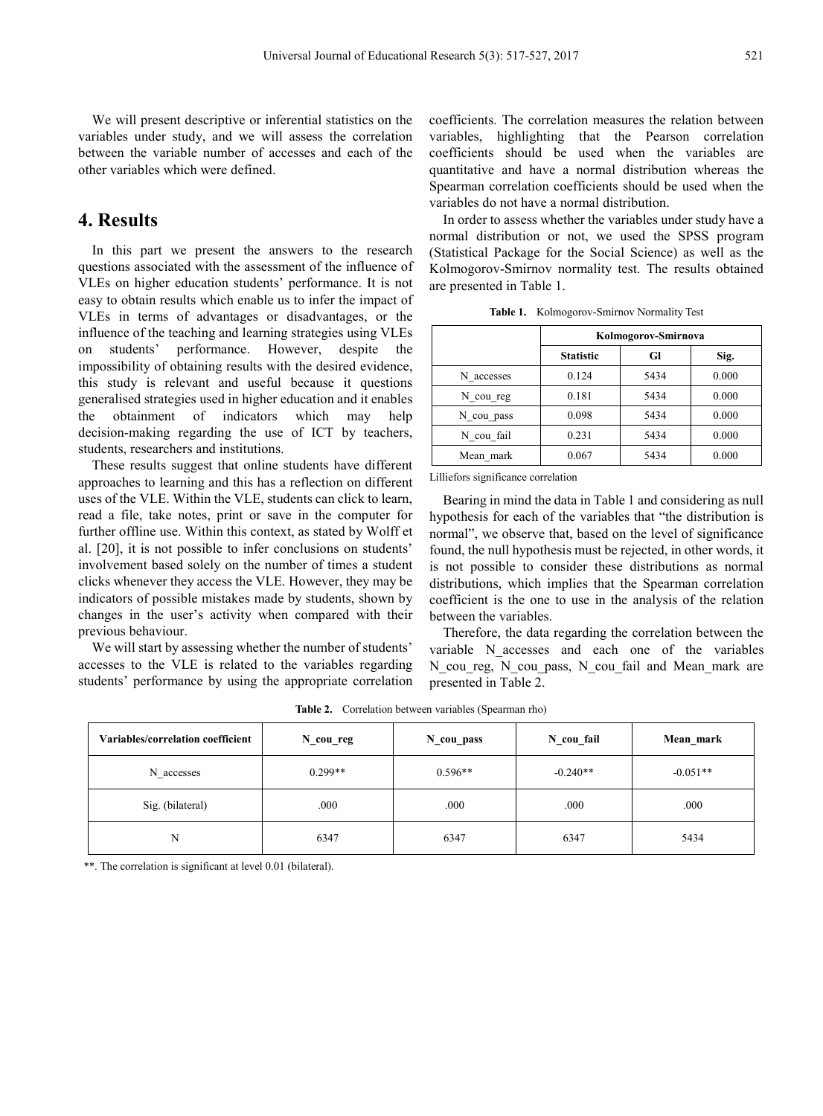We will present descriptive or inferential statistics on the variables under study, and we will assess the correlation between the variable number of accesses and each of the other variables which were defined.

## **4. Results**

In this part we present the answers to the research questions associated with the assessment of the influence of VLEs on higher education students' performance. It is not easy to obtain results which enable us to infer the impact of VLEs in terms of advantages or disadvantages, or the influence of the teaching and learning strategies using VLEs on students' performance. However, despite the impossibility of obtaining results with the desired evidence, this study is relevant and useful because it questions generalised strategies used in higher education and it enables the obtainment of indicators which may help decision-making regarding the use of ICT by teachers, students, researchers and institutions.

These results suggest that online students have different approaches to learning and this has a reflection on different uses of the VLE. Within the VLE, students can click to learn, read a file, take notes, print or save in the computer for further offline use. Within this context, as stated by Wolff et al. [20], it is not possible to infer conclusions on students' involvement based solely on the number of times a student clicks whenever they access the VLE. However, they may be indicators of possible mistakes made by students, shown by changes in the user's activity when compared with their previous behaviour.

We will start by assessing whether the number of students' accesses to the VLE is related to the variables regarding students' performance by using the appropriate correlation coefficients. The correlation measures the relation between variables, highlighting that the Pearson correlation coefficients should be used when the variables are quantitative and have a normal distribution whereas the Spearman correlation coefficients should be used when the variables do not have a normal distribution.

In order to assess whether the variables under study have a normal distribution or not, we used the SPSS program (Statistical Package for the Social Science) as well as the Kolmogorov-Smirnov normality test. The results obtained are presented in Table 1.

|            | Kolmogorov-Smirnova |      |       |  |
|------------|---------------------|------|-------|--|
|            | <b>Statistic</b>    | Gl   | Sig.  |  |
| N accesses | 0.124               | 5434 | 0.000 |  |
| N cou reg  | 0.181               | 5434 | 0.000 |  |
| N cou pass | 0.098               | 5434 | 0.000 |  |
| N cou fail | 0.231               | 5434 | 0.000 |  |
| Mean mark  | 0.067               | 5434 | 0.000 |  |

**Table 1.** Kolmogorov-Smirnov Normality Test

Lilliefors significance correlation

Bearing in mind the data in Table 1 and considering as null hypothesis for each of the variables that "the distribution is normal", we observe that, based on the level of significance found, the null hypothesis must be rejected, in other words, it is not possible to consider these distributions as normal distributions, which implies that the Spearman correlation coefficient is the one to use in the analysis of the relation between the variables.

Therefore, the data regarding the correlation between the variable N accesses and each one of the variables N\_cou\_reg, N\_cou\_pass, N\_cou\_fail and Mean\_mark are presented in Table 2.

| Variables/correlation coefficient | $N_{\text{cou-reg}}$ | N cou pass | N cou fail | Mean mark  |
|-----------------------------------|----------------------|------------|------------|------------|
| N accesses                        | $0.299**$            | $0.596**$  | $-0.240**$ | $-0.051**$ |
| Sig. (bilateral)                  | .000                 | .000       | .000       | .000       |
| N                                 | 6347                 | 6347       | 6347       | 5434       |

**Table 2.** Correlation between variables (Spearman rho)

\*\*. The correlation is significant at level 0.01 (bilateral).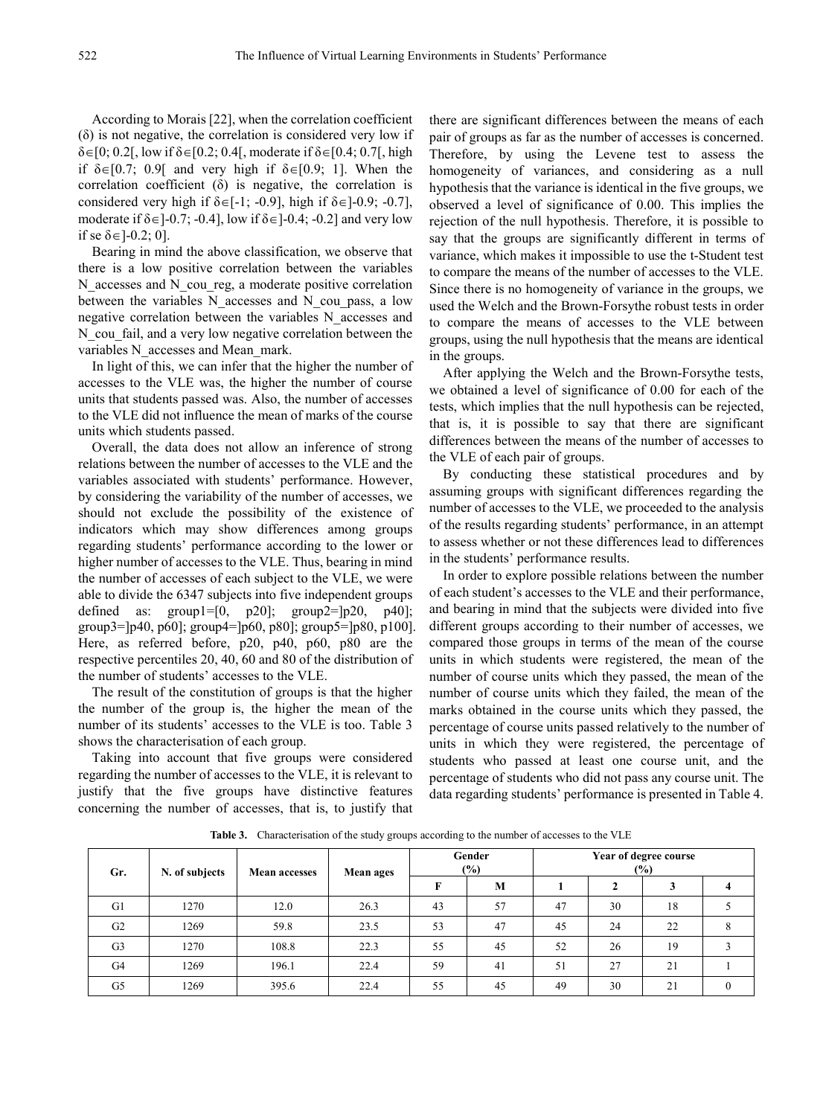According to Morais [22], when the correlation coefficient (δ) is not negative, the correlation is considered very low if  $\delta \in [0; 0.2]$ , low if  $\delta \in [0.2; 0.4]$ , moderate if  $\delta \in [0.4; 0.7]$ , high if  $\delta \in [0.7; 0.9]$  and very high if  $\delta \in [0.9; 1]$ . When the correlation coefficient  $(\delta)$  is negative, the correlation is considered very high if  $\delta \in [-1; -0.9]$ , high if  $\delta \in ]-0.9; -0.7]$ , moderate if  $\delta \in ]-0.7; -0.4]$ , low if  $\delta \in ]-0.4; -0.2]$  and very low if se  $\delta \in ]-0.2; 0]$ .

Bearing in mind the above classification, we observe that there is a low positive correlation between the variables N accesses and N cou reg, a moderate positive correlation between the variables N accesses and N cou pass, a low negative correlation between the variables N\_accesses and N cou fail, and a very low negative correlation between the variables N\_accesses and Mean\_mark.

In light of this, we can infer that the higher the number of accesses to the VLE was, the higher the number of course units that students passed was. Also, the number of accesses to the VLE did not influence the mean of marks of the course units which students passed.

Overall, the data does not allow an inference of strong relations between the number of accesses to the VLE and the variables associated with students' performance. However, by considering the variability of the number of accesses, we should not exclude the possibility of the existence of indicators which may show differences among groups regarding students' performance according to the lower or higher number of accesses to the VLE. Thus, bearing in mind the number of accesses of each subject to the VLE, we were able to divide the 6347 subjects into five independent groups defined as:  $group1=[0, p20]$ ;  $group2=[p20, p40]$ ; group3=]p40, p60]; group4=]p60, p80]; group5=]p80, p100]. Here, as referred before, p20, p40, p60, p80 are the respective percentiles 20, 40, 60 and 80 of the distribution of the number of students' accesses to the VLE.

The result of the constitution of groups is that the higher the number of the group is, the higher the mean of the number of its students' accesses to the VLE is too. Table 3 shows the characterisation of each group.

Taking into account that five groups were considered regarding the number of accesses to the VLE, it is relevant to justify that the five groups have distinctive features concerning the number of accesses, that is, to justify that there are significant differences between the means of each pair of groups as far as the number of accesses is concerned. Therefore, by using the Levene test to assess the homogeneity of variances, and considering as a null hypothesis that the variance is identical in the five groups, we observed a level of significance of 0.00. This implies the rejection of the null hypothesis. Therefore, it is possible to say that the groups are significantly different in terms of variance, which makes it impossible to use the t-Student test to compare the means of the number of accesses to the VLE. Since there is no homogeneity of variance in the groups, we used the Welch and the Brown-Forsythe robust tests in order to compare the means of accesses to the VLE between groups, using the null hypothesis that the means are identical in the groups.

After applying the Welch and the Brown-Forsythe tests, we obtained a level of significance of 0.00 for each of the tests, which implies that the null hypothesis can be rejected, that is, it is possible to say that there are significant differences between the means of the number of accesses to the VLE of each pair of groups.

By conducting these statistical procedures and by assuming groups with significant differences regarding the number of accesses to the VLE, we proceeded to the analysis of the results regarding students' performance, in an attempt to assess whether or not these differences lead to differences in the students' performance results.

In order to explore possible relations between the number of each student's accesses to the VLE and their performance, and bearing in mind that the subjects were divided into five different groups according to their number of accesses, we compared those groups in terms of the mean of the course units in which students were registered, the mean of the number of course units which they passed, the mean of the number of course units which they failed, the mean of the marks obtained in the course units which they passed, the percentage of course units passed relatively to the number of units in which they were registered, the percentage of students who passed at least one course unit, and the percentage of students who did not pass any course unit. The data regarding students' performance is presented in Table 4.

| Gr.            | N. of subjects | <b>Mean accesses</b> | Mean ages |    |    | Gender<br>$(\%)$ |    |    | Year of degree course<br>$(\%)$ |  |  |
|----------------|----------------|----------------------|-----------|----|----|------------------|----|----|---------------------------------|--|--|
|                |                |                      |           | F  | M  |                  |    | 3  |                                 |  |  |
| G1             | 1270           | 12.0                 | 26.3      | 43 | 57 | 47               | 30 | 18 |                                 |  |  |
| G2             | 1269           | 59.8                 | 23.5      | 53 | 47 | 45               | 24 | 22 |                                 |  |  |
| G <sub>3</sub> | 1270           | 108.8                | 22.3      | 55 | 45 | 52               | 26 | 19 |                                 |  |  |
| G4             | 1269           | 196.1                | 22.4      | 59 | 41 | 51               | 27 | 21 |                                 |  |  |
| G5             | 1269           | 395.6                | 22.4      | 55 | 45 | 49               | 30 | 21 |                                 |  |  |

Table 3. Characterisation of the study groups according to the number of accesses to the VLE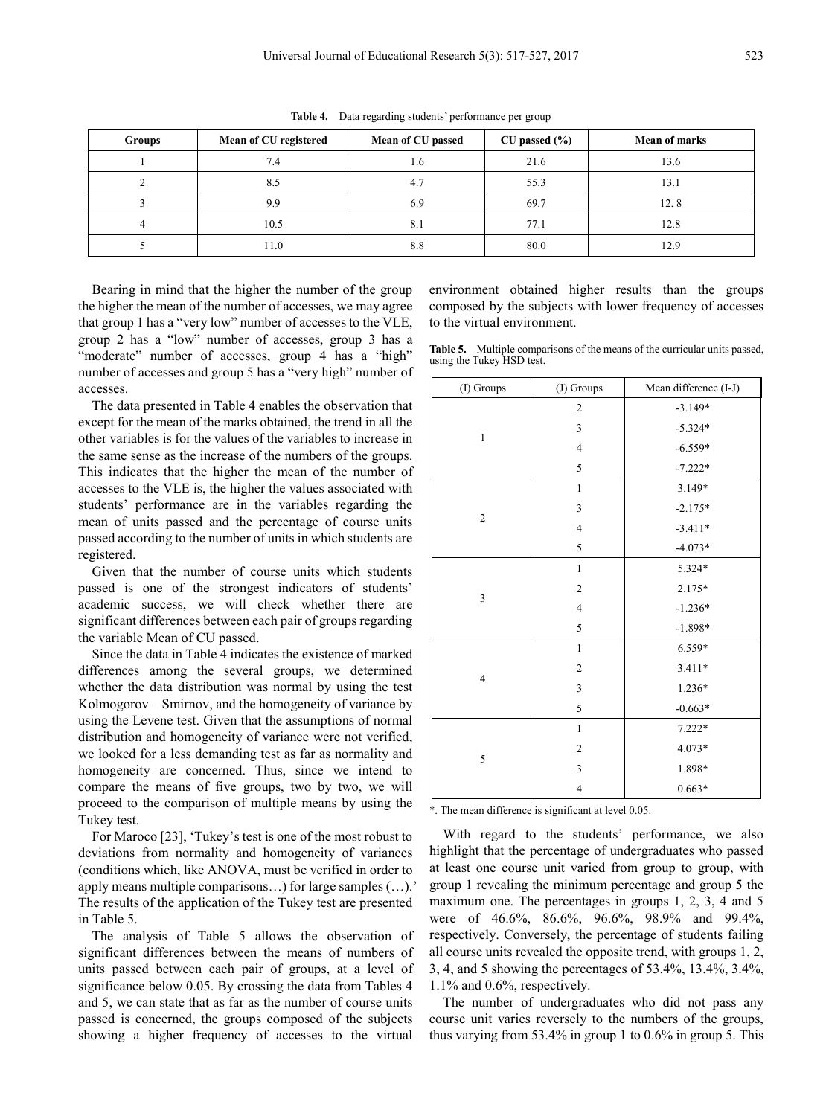| <b>Groups</b> | Mean of CU registered | Mean of CU passed | $CU$ passed $(\% )$ | <b>Mean of marks</b> |
|---------------|-----------------------|-------------------|---------------------|----------------------|
|               | 7.4                   | 1.6               | 21.6                | 13.6                 |
|               | 8.5                   |                   | 55.3                | 13.1                 |
|               | 9.9                   |                   | 69.7                | 12.8                 |
|               | 10.5                  | $\delta$ .        | 77.1                | 12.8                 |
|               | 11.0                  | 8.8               | 80.0                | 12 Q                 |

**Table 4.** Data regarding students' performance per group

Bearing in mind that the higher the number of the group the higher the mean of the number of accesses, we may agree that group 1 has a "very low" number of accesses to the VLE, group 2 has a "low" number of accesses, group 3 has a "moderate" number of accesses, group 4 has a "high" number of accesses and group 5 has a "very high" number of accesses.

The data presented in Table 4 enables the observation that except for the mean of the marks obtained, the trend in all the other variables is for the values of the variables to increase in the same sense as the increase of the numbers of the groups. This indicates that the higher the mean of the number of accesses to the VLE is, the higher the values associated with students' performance are in the variables regarding the mean of units passed and the percentage of course units passed according to the number of units in which students are registered.

Given that the number of course units which students passed is one of the strongest indicators of students' academic success, we will check whether there are significant differences between each pair of groups regarding the variable Mean of CU passed.

Since the data in Table 4 indicates the existence of marked differences among the several groups, we determined whether the data distribution was normal by using the test Kolmogorov – Smirnov, and the homogeneity of variance by using the Levene test. Given that the assumptions of normal distribution and homogeneity of variance were not verified, we looked for a less demanding test as far as normality and homogeneity are concerned. Thus, since we intend to compare the means of five groups, two by two, we will proceed to the comparison of multiple means by using the Tukey test.

For Maroco [23], 'Tukey's test is one of the most robust to deviations from normality and homogeneity of variances (conditions which, like ANOVA, must be verified in order to apply means multiple comparisons…) for large samples (…).' The results of the application of the Tukey test are presented in Table 5.

The analysis of Table 5 allows the observation of significant differences between the means of numbers of units passed between each pair of groups, at a level of significance below 0.05. By crossing the data from Tables 4 and 5, we can state that as far as the number of course units passed is concerned, the groups composed of the subjects showing a higher frequency of accesses to the virtual

environment obtained higher results than the groups composed by the subjects with lower frequency of accesses to the virtual environment.

**Table 5.** Multiple comparisons of the means of the curricular units passed, using the Tukey HSD test.

| (I) Groups              | (J) Groups     | Mean difference (I-J) |
|-------------------------|----------------|-----------------------|
|                         | $\overline{c}$ | $-3.149*$             |
|                         | 3              | $-5.324*$             |
| $\mathbf{1}$            | $\overline{4}$ | $-6.559*$             |
|                         | 5              | $-7.222*$             |
|                         | 1              | 3.149*                |
| $\mathfrak{2}$          | 3              | $-2.175*$             |
|                         | $\overline{4}$ | $-3.411*$             |
|                         | 5              | $-4.073*$             |
|                         | $\mathbf{1}$   | 5.324*                |
| 3                       | $\overline{2}$ | $2.175*$              |
|                         | $\overline{4}$ | $-1.236*$             |
|                         | 5              | $-1.898*$             |
|                         | $\mathbf{1}$   | 6.559*                |
| $\overline{\mathbf{4}}$ | $\overline{2}$ | 3.411*                |
|                         | 3              | 1.236*                |
|                         | 5              | $-0.663*$             |
|                         | $\mathbf{1}$   | $7.222*$              |
|                         | $\overline{c}$ | 4.073*                |
| 5                       | 3              | 1.898*                |
|                         | $\overline{4}$ | $0.663*$              |

\*. The mean difference is significant at level 0.05.

With regard to the students' performance, we also highlight that the percentage of undergraduates who passed at least one course unit varied from group to group, with group 1 revealing the minimum percentage and group 5 the maximum one. The percentages in groups 1, 2, 3, 4 and 5 were of 46.6%, 86.6%, 96.6%, 98.9% and 99.4%, respectively. Conversely, the percentage of students failing all course units revealed the opposite trend, with groups 1, 2, 3, 4, and 5 showing the percentages of 53.4%, 13.4%, 3.4%, 1.1% and 0.6%, respectively.

The number of undergraduates who did not pass any course unit varies reversely to the numbers of the groups, thus varying from 53.4% in group 1 to 0.6% in group 5. This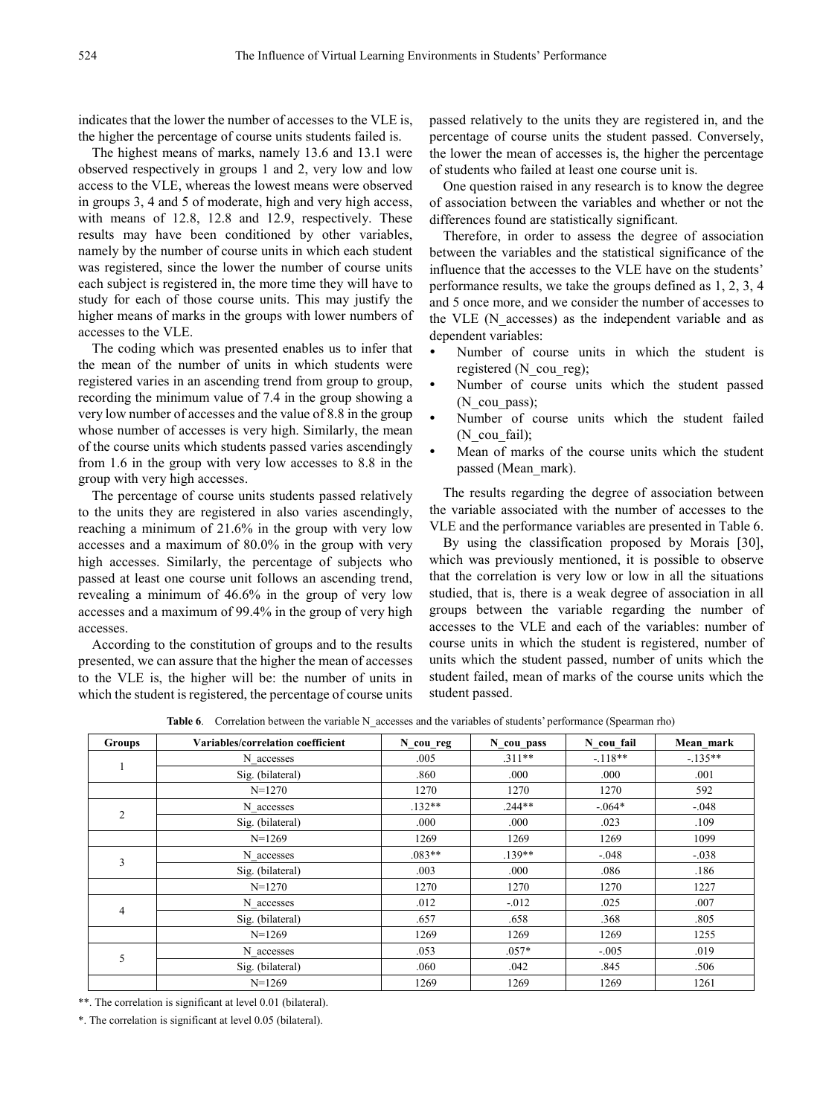indicates that the lower the number of accesses to the VLE is, the higher the percentage of course units students failed is.

The highest means of marks, namely 13.6 and 13.1 were observed respectively in groups 1 and 2, very low and low access to the VLE, whereas the lowest means were observed in groups 3, 4 and 5 of moderate, high and very high access, with means of 12.8, 12.8 and 12.9, respectively. These results may have been conditioned by other variables, namely by the number of course units in which each student was registered, since the lower the number of course units each subject is registered in, the more time they will have to study for each of those course units. This may justify the higher means of marks in the groups with lower numbers of accesses to the VLE.

The coding which was presented enables us to infer that the mean of the number of units in which students were registered varies in an ascending trend from group to group, recording the minimum value of 7.4 in the group showing a very low number of accesses and the value of 8.8 in the group whose number of accesses is very high. Similarly, the mean of the course units which students passed varies ascendingly from 1.6 in the group with very low accesses to 8.8 in the group with very high accesses.

The percentage of course units students passed relatively to the units they are registered in also varies ascendingly, reaching a minimum of 21.6% in the group with very low accesses and a maximum of 80.0% in the group with very high accesses. Similarly, the percentage of subjects who passed at least one course unit follows an ascending trend, revealing a minimum of 46.6% in the group of very low accesses and a maximum of 99.4% in the group of very high accesses.

According to the constitution of groups and to the results presented, we can assure that the higher the mean of accesses to the VLE is, the higher will be: the number of units in which the student is registered, the percentage of course units passed relatively to the units they are registered in, and the percentage of course units the student passed. Conversely, the lower the mean of accesses is, the higher the percentage of students who failed at least one course unit is.

One question raised in any research is to know the degree of association between the variables and whether or not the differences found are statistically significant.

Therefore, in order to assess the degree of association between the variables and the statistical significance of the influence that the accesses to the VLE have on the students' performance results, we take the groups defined as 1, 2, 3, 4 and 5 once more, and we consider the number of accesses to the VLE (N\_accesses) as the independent variable and as dependent variables:

- Number of course units in which the student is registered (N\_cou\_reg);
- Number of course units which the student passed (N\_cou\_pass);
- Number of course units which the student failed (N\_cou\_fail);
- Mean of marks of the course units which the student passed (Mean\_mark).

The results regarding the degree of association between the variable associated with the number of accesses to the VLE and the performance variables are presented in Table 6.

By using the classification proposed by Morais [30], which was previously mentioned, it is possible to observe that the correlation is very low or low in all the situations studied, that is, there is a weak degree of association in all groups between the variable regarding the number of accesses to the VLE and each of the variables: number of course units in which the student is registered, number of units which the student passed, number of units which the student failed, mean of marks of the course units which the student passed.

Table 6. Correlation between the variable N\_accesses and the variables of students' performance (Spearman rho)

| <b>Groups</b>  | Variables/correlation coefficient | N_cou_reg | N cou pass | N cou fail | Mean mark |
|----------------|-----------------------------------|-----------|------------|------------|-----------|
|                | N accesses                        | .005      | $.311**$   | $-.118**$  | $-135**$  |
|                | Sig. (bilateral)                  | .860      | .000       | .000       | .001      |
|                | $N=1270$                          | 1270      | 1270       | 1270       | 592       |
|                | N accesses                        | $.132**$  | $.244**$   | $-0.064*$  | $-.048$   |
| $\overline{2}$ | Sig. (bilateral)                  | .000      | .000       | .023       | .109      |
|                | $N=1269$                          | 1269      | 1269       | 1269       | 1099      |
| 3              | N accesses                        | $.083**$  | $.139**$   | $-.048$    | $-.038$   |
|                | Sig. (bilateral)                  | .003      | .000       | .086       | .186      |
|                | $N=1270$                          | 1270      | 1270       | 1270       | 1227      |
|                | N accesses                        | .012      | $-.012$    | .025       | .007      |
| 4              | Sig. (bilateral)                  | .657      | .658       | .368       | .805      |
|                | $N=1269$                          | 1269      | 1269       | 1269       | 1255      |
|                | N accesses                        | .053      | $.057*$    | $-.005$    | .019      |
| 5              | Sig. (bilateral)                  | .060      | .042       | .845       | .506      |
|                | $N=1269$                          | 1269      | 1269       | 1269       | 1261      |

\*\*. The correlation is significant at level 0.01 (bilateral).

\*. The correlation is significant at level 0.05 (bilateral).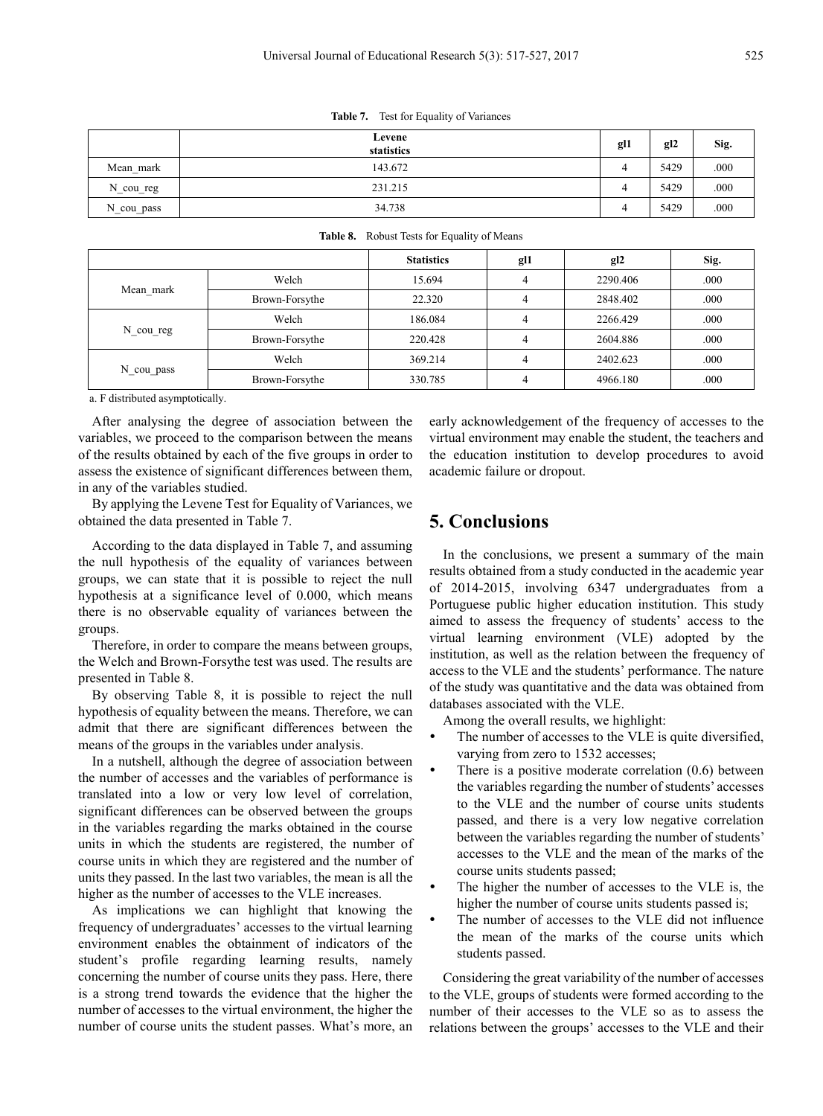|                      | Levene<br>statistics | gl1 | gl2  | Sig. |
|----------------------|----------------------|-----|------|------|
| Mean mark            | 143.672              | 4   | 5429 | .000 |
| $N_{\text{cou_reg}}$ | 231.215              | 4   | 5429 | .000 |
| N_cou_pass           | 34.738               | 4   | 5429 | .000 |

**Table 7.** Test for Equality of Variances

|            |                | <b>Statistics</b> | g <sub>11</sub> | g12      | Sig. |
|------------|----------------|-------------------|-----------------|----------|------|
| Mean_mark  | Welch          | 15.694            | 4               | 2290.406 | .000 |
|            | Brown-Forsythe | 22.320            |                 | 2848.402 | .000 |
| N cou reg  | Welch          | 186.084           |                 | 2266.429 | .000 |
|            | Brown-Forsythe | 220.428           | 4               | 2604.886 | .000 |
| N_cou_pass | Welch          | 369.214           | 4               | 2402.623 | .000 |
|            | Brown-Forsythe | 330.785           |                 | 4966.180 | .000 |

#### **Table 8.** Robust Tests for Equality of Means

a. F distributed asymptotically.

After analysing the degree of association between the variables, we proceed to the comparison between the means of the results obtained by each of the five groups in order to assess the existence of significant differences between them, in any of the variables studied.

By applying the Levene Test for Equality of Variances, we obtained the data presented in Table 7.

According to the data displayed in Table 7, and assuming the null hypothesis of the equality of variances between groups, we can state that it is possible to reject the null hypothesis at a significance level of 0.000, which means there is no observable equality of variances between the groups.

Therefore, in order to compare the means between groups, the Welch and Brown-Forsythe test was used. The results are presented in Table 8.

By observing Table 8, it is possible to reject the null hypothesis of equality between the means. Therefore, we can admit that there are significant differences between the means of the groups in the variables under analysis.

In a nutshell, although the degree of association between the number of accesses and the variables of performance is translated into a low or very low level of correlation, significant differences can be observed between the groups in the variables regarding the marks obtained in the course units in which the students are registered, the number of course units in which they are registered and the number of units they passed. In the last two variables, the mean is all the higher as the number of accesses to the VLE increases.

As implications we can highlight that knowing the frequency of undergraduates' accesses to the virtual learning environment enables the obtainment of indicators of the student's profile regarding learning results, namely concerning the number of course units they pass. Here, there is a strong trend towards the evidence that the higher the number of accesses to the virtual environment, the higher the number of course units the student passes. What's more, an

early acknowledgement of the frequency of accesses to the virtual environment may enable the student, the teachers and the education institution to develop procedures to avoid academic failure or dropout.

# **5. Conclusions**

In the conclusions, we present a summary of the main results obtained from a study conducted in the academic year of 2014-2015, involving 6347 undergraduates from a Portuguese public higher education institution. This study aimed to assess the frequency of students' access to the virtual learning environment (VLE) adopted by the institution, as well as the relation between the frequency of access to the VLE and the students' performance. The nature of the study was quantitative and the data was obtained from databases associated with the VLE.

Among the overall results, we highlight:

- The number of accesses to the VLE is quite diversified, varying from zero to 1532 accesses;
- There is a positive moderate correlation (0.6) between the variables regarding the number of students' accesses to the VLE and the number of course units students passed, and there is a very low negative correlation between the variables regarding the number of students' accesses to the VLE and the mean of the marks of the course units students passed;
- The higher the number of accesses to the VLE is, the higher the number of course units students passed is;
- The number of accesses to the VLE did not influence the mean of the marks of the course units which students passed.

Considering the great variability of the number of accesses to the VLE, groups of students were formed according to the number of their accesses to the VLE so as to assess the relations between the groups' accesses to the VLE and their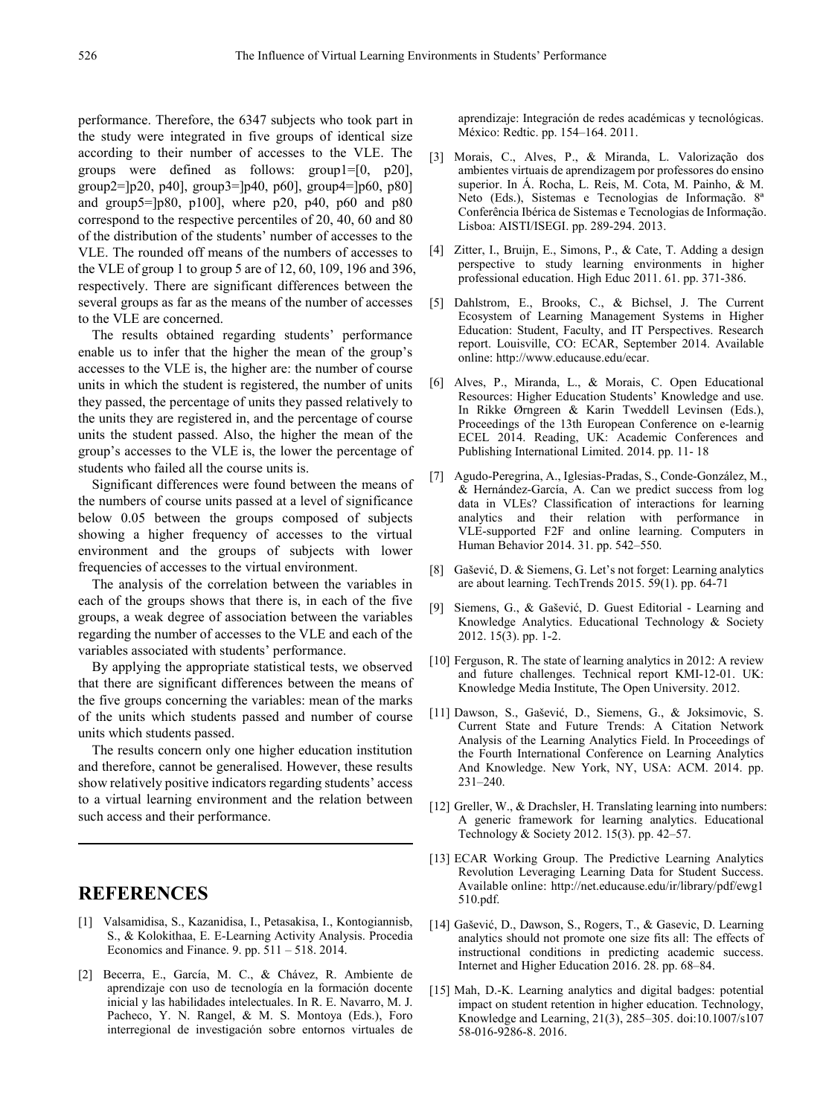performance. Therefore, the 6347 subjects who took part in the study were integrated in five groups of identical size according to their number of accesses to the VLE. The groups were defined as follows: group1=[0, p20], group2= $[p20, p40]$ , group3= $[p40, p60]$ , group4= $[p60, p80]$ and group5= $[p80, p100]$ , where p20, p40, p60 and p80 correspond to the respective percentiles of 20, 40, 60 and 80 of the distribution of the students' number of accesses to the VLE. The rounded off means of the numbers of accesses to the VLE of group 1 to group 5 are of 12, 60, 109, 196 and 396, respectively. There are significant differences between the several groups as far as the means of the number of accesses to the VLE are concerned.

The results obtained regarding students' performance enable us to infer that the higher the mean of the group's accesses to the VLE is, the higher are: the number of course units in which the student is registered, the number of units they passed, the percentage of units they passed relatively to the units they are registered in, and the percentage of course units the student passed. Also, the higher the mean of the group's accesses to the VLE is, the lower the percentage of students who failed all the course units is.

Significant differences were found between the means of the numbers of course units passed at a level of significance below 0.05 between the groups composed of subjects showing a higher frequency of accesses to the virtual environment and the groups of subjects with lower frequencies of accesses to the virtual environment.

The analysis of the correlation between the variables in each of the groups shows that there is, in each of the five groups, a weak degree of association between the variables regarding the number of accesses to the VLE and each of the variables associated with students' performance.

By applying the appropriate statistical tests, we observed that there are significant differences between the means of the five groups concerning the variables: mean of the marks of the units which students passed and number of course units which students passed.

The results concern only one higher education institution and therefore, cannot be generalised. However, these results show relatively positive indicators regarding students' access to a virtual learning environment and the relation between such access and their performance.

## **REFERENCES**

- [1] Valsamidisa, S., Kazanidisa, I., Petasakisa, I., Kontogiannisb, S., & Kolokithaa, E. E-Learning Activity Analysis. Procedia Economics and Finance. 9. pp. 511 – 518. 2014.
- [2] Becerra, E., García, M. C., & Chávez, R. Ambiente de aprendizaje con uso de tecnología en la formación docente inicial y las habilidades intelectuales. In R. E. Navarro, M. J. Pacheco, Y. N. Rangel, & M. S. Montoya (Eds.), Foro interregional de investigación sobre entornos virtuales de

aprendizaje: Integración de redes académicas y tecnológicas. México: Redtic. pp. 154–164. 2011.

- [3] Morais, C., Alves, P., & Miranda, L. Valorização dos ambientes virtuais de aprendizagem por professores do ensino superior. In Á. Rocha, L. Reis, M. Cota, M. Painho, & M. Neto (Eds.), Sistemas e Tecnologias de Informação. 8ª Conferência Ibérica de Sistemas e Tecnologias de Informação. Lisboa: AISTI/ISEGI. pp. 289-294. 2013.
- [4] Zitter, I., Bruijn, E., Simons, P., & Cate, T. Adding a design perspective to study learning environments in higher professional education. High Educ 2011. 61. pp. 371-386.
- [5] Dahlstrom, E., Brooks, C., & Bichsel, J. The Current Ecosystem of Learning Management Systems in Higher Education: Student, Faculty, and IT Perspectives. Research report. Louisville, CO: ECAR, September 2014. Available online: http://www.educause.edu/ecar.
- [6] Alves, P., Miranda, L., & Morais, C. Open Educational Resources: Higher Education Students' Knowledge and use. In Rikke Ørngreen & Karin Tweddell Levinsen (Eds.), Proceedings of the 13th European Conference on e-learnig ECEL 2014. Reading, UK: Academic Conferences and Publishing International Limited. 2014. pp. 11- 18
- [7] Agudo-Peregrina, A., Iglesias-Pradas, S., Conde-González, M., & Hernández-García, A. Can we predict success from log data in VLEs? Classification of interactions for learning analytics and their relation with performance in VLE-supported F2F and online learning. Computers in Human Behavior 2014. 31. pp. 542–550.
- [8] Gašević, D. & Siemens, G. Let's not forget: Learning analytics are about learning. TechTrends 2015. 59(1). pp. 64-71
- [9] Siemens, G., & Gašević, D. Guest Editorial Learning and Knowledge Analytics. Educational Technology & Society 2012. 15(3). pp. 1-2.
- [10] Ferguson, R. The state of learning analytics in 2012: A review and future challenges. Technical report KMI-12-01. UK: Knowledge Media Institute, The Open University. 2012.
- [11] Dawson, S., Gašević, D., Siemens, G., & Joksimovic, S. Current State and Future Trends: A Citation Network Analysis of the Learning Analytics Field. In Proceedings of the Fourth International Conference on Learning Analytics And Knowledge. New York, NY, USA: ACM. 2014. pp. 231–240.
- [12] Greller, W., & Drachsler, H. Translating learning into numbers: A generic framework for learning analytics. Educational Technology & Society 2012. 15(3). pp. 42–57.
- [13] ECAR Working Group. The Predictive Learning Analytics Revolution Leveraging Learning Data for Student Success. Available online: http://net.educause.edu/ir/library/pdf/ewg1 510.pdf.
- [14] Gašević, D., Dawson, S., Rogers, T., & Gasevic, D. Learning analytics should not promote one size fits all: The effects of instructional conditions in predicting academic success. Internet and Higher Education 2016. 28. pp. 68–84.
- [15] Mah, D.-K. Learning analytics and digital badges: potential impact on student retention in higher education. Technology, Knowledge and Learning, 21(3), 285–305. doi[:10.1007/s107](http://dx.doi.org/10.1007/s10758-016-9286-8) [58-016-9286-8.](http://dx.doi.org/10.1007/s10758-016-9286-8) 2016.